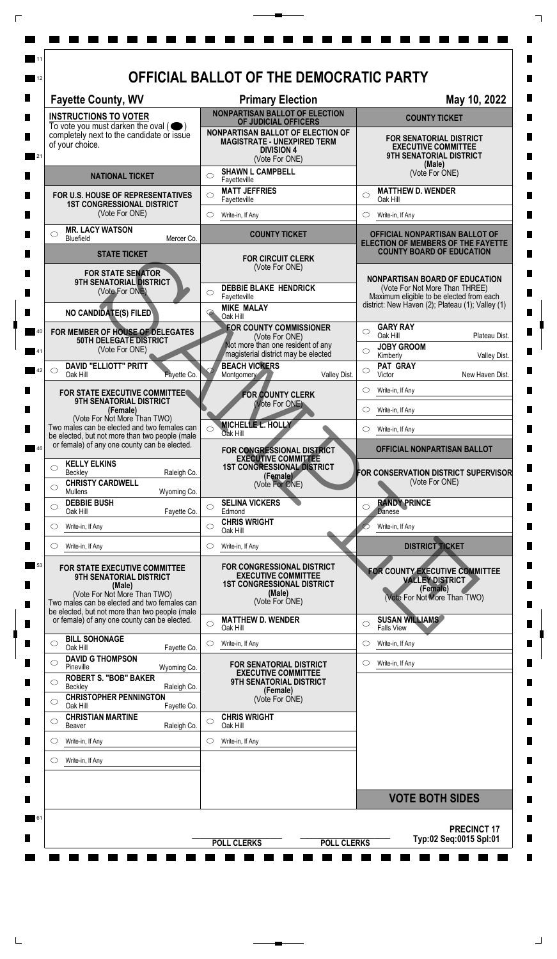| <b>Fayette County, WV</b>                                                                                                                                                                            | <b>Primary Election</b>                                                                                                                                   | May 10, 2022                                                                                                                                                            |
|------------------------------------------------------------------------------------------------------------------------------------------------------------------------------------------------------|-----------------------------------------------------------------------------------------------------------------------------------------------------------|-------------------------------------------------------------------------------------------------------------------------------------------------------------------------|
| <b>INSTRUCTIONS TO VOTER</b>                                                                                                                                                                         | <b>NONPARTISAN BALLOT OF ELECTION</b><br>OF JUDICIAL OFFICERS                                                                                             | <b>COUNTY TICKET</b>                                                                                                                                                    |
| To vote you must darken the oval $($<br>completely next to the candidate or issue<br>of your choice.                                                                                                 | NONPARTISAN BALLOT OF ELECTION OF<br><b>MAGISTRATE - UNEXPIRED TERM</b><br><b>DIVISION 4</b><br>(Vote For ONE)                                            | <b>FOR SENATORIAL DISTRICT</b><br><b>EXECUTIVE COMMITTEE</b><br>9TH SENATORIAL DISTRICT<br>(Male)                                                                       |
| <b>NATIONAL TICKET</b>                                                                                                                                                                               | <b>SHAWN L CAMPBELL</b><br>◯<br>Fayetteville                                                                                                              | (Vote For ONE)                                                                                                                                                          |
| FOR U.S. HOUSE OF REPRESENTATIVES<br><b>1ST CONGRESSIONAL DISTRICT</b><br>(Vote For ONE)                                                                                                             | <b>MATT JEFFRIES</b><br>$\bigcirc$<br>Fayetteville                                                                                                        | <b>MATTHEW D. WENDER</b><br>$\circ$<br>Oak Hill                                                                                                                         |
|                                                                                                                                                                                                      | $\circ$<br>Write-in, If Any                                                                                                                               | Write-in, If Any                                                                                                                                                        |
| <b>MR. LACY WATSON</b><br>◯<br>Bluefield                                                                                                                                                             | <b>COUNTY TICKET</b><br>Mercer Co.                                                                                                                        | OFFICIAL NONPARTISAN BALLOT OF                                                                                                                                          |
| <b>STATE TICKET</b>                                                                                                                                                                                  | <b>FOR CIRCUIT CLERK</b>                                                                                                                                  | ELECTION OF MEMBERS OF THE FAYETTE<br><b>COUNTY BOARD OF EDUCATION</b>                                                                                                  |
| <b>FOR STATE SENATOR</b><br>9TH SENATORIAL DISTRICT<br>(Vote For ONE)<br>NO CANDIDATE(S) FILED                                                                                                       | (Vote For ONE)<br><b>DEBBIE BLAKE HENDRICK</b><br>O<br>Fayetteville<br><b>MIKE MALAY</b><br>$\bm \varphi$                                                 | <b>NONPARTISAN BOARD OF EDUCATION</b><br>(Vote For Not More Than THREE)<br>Maximum eligible to be elected from each<br>district: New Haven (2); Plateau (1); Valley (1) |
| FOR MEMBER OF HOUSE OF DELEGATES<br>50TH DELEGATE DISTRICT<br>(Vote For ONE)                                                                                                                         | Oak Hill<br><b>FOR COUNTY COMMISSIONER</b><br>(Vote For ONE)<br>Not more than one resident of any                                                         | <b>GARY RAY</b><br>$\bigcirc$<br>Oak Hill<br>Plateau Dist.<br><b>JOBY GROOM</b><br>◯                                                                                    |
| <b>DAVID "ELLIOTT" PRITT</b><br>O                                                                                                                                                                    | magisterial district may be elected<br><b>BEACH VICKERS</b>                                                                                               | Kimberly<br>Valley Dist.<br>PAT GRAY<br>$\circ$                                                                                                                         |
| Oak Hill                                                                                                                                                                                             | Valley Dist.<br>Fayette Co.<br>Montgomery                                                                                                                 | New Haven Dist.<br>Victor<br>Write-in, If Any<br>O                                                                                                                      |
| FOR STATE EXECUTIVE COMMITTEE<br><b>9TH SENATORIAL DISTRICT</b><br>(Female)                                                                                                                          | <b>FOR COUNTY CLERK</b><br>(Vote For ONE)                                                                                                                 | Write-in, If Any                                                                                                                                                        |
| (Vote For Not More Than TWO)<br>Two males can be elected and two females can                                                                                                                         | MICHELLE L. HOLLY                                                                                                                                         | $\circ$                                                                                                                                                                 |
| be elected, but not more than two people (male<br>or female) of any one county can be elected.                                                                                                       | Oak Hill                                                                                                                                                  | Write-in, If Any<br>OFFICIAL NONPARTISAN BALLOT                                                                                                                         |
| <b>KELLY ELKINS</b><br>$\circlearrowright$<br>Beckley<br><b>CHRISTY CARDWELL</b><br>◯<br><b>Mullens</b>                                                                                              | FOR CONGRESSIONAL DISTRICT<br><b>EXECUTIVE COMMITTEE</b><br><b>1ST CONGRESSIONAL DISTRICT</b><br>Raleigh Co.<br>(Female)<br>(Vote For ONE)<br>Wyoming Co. | FOR CONSERVATION DISTRICT SUPERVISOR<br>(Vote For ONE)                                                                                                                  |
| <b>DEBBIE BUSH</b><br>$\circlearrowright$<br>Oak Hill                                                                                                                                                | <b>SELINA VICKERS</b><br>◯<br>Edmond<br>Fayette Co.                                                                                                       | <b>RANDY PRINCE</b><br>C<br><b>Danese</b>                                                                                                                               |
| Write-in, If Any<br>O                                                                                                                                                                                | <b>CHRIS WRIGHT</b><br>$\circ$<br>Oak Hill                                                                                                                | Write-in, If Any                                                                                                                                                        |
| Write-in, If Any<br>O                                                                                                                                                                                | $\circlearrowright$<br>Write-in, If Any                                                                                                                   | <b>DISTRICT TICKET</b>                                                                                                                                                  |
| FOR STATE EXECUTIVE COMMITTEE<br>9TH SENATORIAL DISTRICT<br>(Male)<br>(Vote For Not More Than TWO)<br>Two males can be elected and two females can<br>be elected, but not more than two people (male | <b>FOR CONGRESSIONAL DISTRICT</b><br><b>EXECUTIVE COMMITTEE</b><br><b>1ST CONGRESSIONAL DISTRICT</b><br>(Male)<br>(Vote For ONE)                          | FOR COUNTY EXECUTIVE COMMITTEE<br><b>VALLEY DISTRICT</b><br>(Female)<br>(Vote For Not More Than TWO)                                                                    |
| or female) of any one county can be elected.                                                                                                                                                         | <b>MATTHEW D. WENDER</b><br>$\bigcirc$<br>Oak Hill                                                                                                        | <b>SUSAN WILLIAMS</b><br>O<br><b>Falls View</b>                                                                                                                         |
| <b>BILL SOHONAGE</b><br>$\circlearrowright$<br>Oak Hill                                                                                                                                              | Write-in, If Any<br>$\circ$<br>Fayette Co.                                                                                                                | Write-in, If Any<br>$\circlearrowright$                                                                                                                                 |
| <b>DAVID G THOMPSON</b><br>◯<br>Pineville                                                                                                                                                            | FOR SENATORIAL DISTRICT<br>Wyoming Co.                                                                                                                    | Write-in, If Any<br>O                                                                                                                                                   |
| <b>ROBERT S. "BOB" BAKER</b><br>$\circ$<br>Beckley                                                                                                                                                   | <b>EXECUTIVE COMMITTEE</b><br><b>9TH SENATORIAL DISTRICT</b><br>Raleigh Co.                                                                               |                                                                                                                                                                         |
| <b>CHRISTOPHER PENNINGTON</b><br>$\bigcirc$<br>Oak Hill                                                                                                                                              | (Female)<br>(Vote For ONE)<br>Fayette Co.                                                                                                                 |                                                                                                                                                                         |
| <b>CHRISTIAN MARTINE</b><br>$\circ$<br>Beaver                                                                                                                                                        | <b>CHRIS WRIGHT</b><br>$\circ$<br>Oak Hill<br>Raleigh Co.                                                                                                 |                                                                                                                                                                         |
| $\circ$<br>Write-in, If Any                                                                                                                                                                          | $\circ$<br>Write-in, If Any                                                                                                                               |                                                                                                                                                                         |
| Write-in, If Any<br>O                                                                                                                                                                                |                                                                                                                                                           |                                                                                                                                                                         |
|                                                                                                                                                                                                      |                                                                                                                                                           |                                                                                                                                                                         |
|                                                                                                                                                                                                      |                                                                                                                                                           | <b>VOTE BOTH SIDES</b>                                                                                                                                                  |

 $\overline{\Gamma}$ 

 $\top$